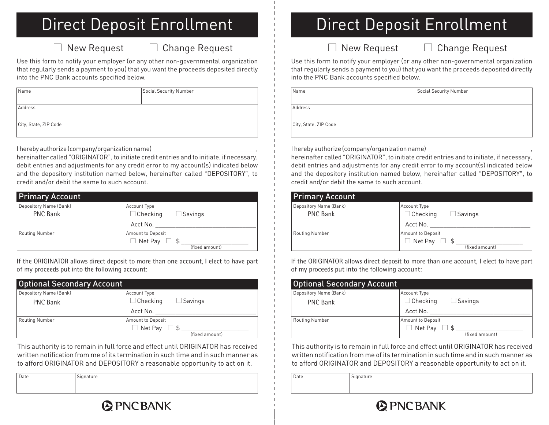### Direct Deposit Enrollment

#### $\Box$  New Request  $\Box$  Change Request

Use this form to notify your employer (or any other non-governmental organization that regularly sends a payment to you) that you want the proceeds deposited directly into the PNC Bank accounts specified below.

| <b>Name</b>           | Social Security Number |
|-----------------------|------------------------|
|                       |                        |
| Address               |                        |
|                       |                        |
| City, State, ZIP Code |                        |

I hereby authorize (company/organization name)

hereinafter called "ORIGINATOR", to initiate credit entries and to initiate, if necessary, debit entries and adjustments for any credit error to my account(s) indicated below and the depository institution named below, hereinafter called "DEPOSITORY", to credit and/or debit the same to such account.

| <b>Primary Account</b> |                                   |
|------------------------|-----------------------------------|
| Depository Name (Bank) | <b>Account Type</b>               |
| <b>PNC Bank</b>        | $\Box$ Checking<br>$\Box$ Savings |
|                        | Acct No.                          |
| <b>Routing Number</b>  | Amount to Deposit                 |
|                        | $\Box$ Net Pay<br>- \$            |
|                        | (fixed amount)                    |

If the ORIGINATOR allows direct deposit to more than one account, I elect to have part of my proceeds put into the following account:

| <b>Optional Secondary Account</b> |                                   |
|-----------------------------------|-----------------------------------|
| Depository Name (Bank)            | <b>Account Type</b>               |
| <b>PNC Bank</b>                   | $\Box$ Checking<br>$\Box$ Savings |
|                                   | Acct No.                          |
| <b>Routing Number</b>             | Amount to Deposit                 |
|                                   | $\Box$ Net Pay                    |
|                                   | (fixed amount)                    |

This authority is to remain in full force and effect until ORIGINATOR has received written notification from me of its termination in such time and in such manner as to afford ORIGINATOR and DEPOSITORY a reasonable opportunity to act on it.

**A PNC BANK** 

| Date | Signature |
|------|-----------|
|      |           |

## Direct Deposit Enrollment

New Request □ Change Request

Use this form to notify your employer (or any other non-governmental organization that regularly sends a payment to you) that you want the proceeds deposited directly into the PNC Bank accounts specified below.

| Name                  | Social Security Number |
|-----------------------|------------------------|
|                       |                        |
| Address               |                        |
|                       |                        |
| City, State, ZIP Code |                        |

I hereby authorize (company/organization name)

hereinafter called "ORIGINATOR", to initiate credit entries and to initiate, if necessary, debit entries and adjustments for any credit error to my account(s) indicated below and the depository institution named below, hereinafter called "DEPOSITORY", to credit and/or debit the same to such account.

| <b>Primary Account</b> |                                   |
|------------------------|-----------------------------------|
| Depository Name (Bank) | Account Type                      |
| <b>PNC Bank</b>        | $\Box$ Checking<br>$\Box$ Savings |
|                        | Acct No.                          |
| <b>Routing Number</b>  | Amount to Deposit                 |
|                        | $\Box$ Net Pay                    |
|                        | (fixed amount)                    |

If the ORIGINATOR allows direct deposit to more than one account, I elect to have part of my proceeds put into the following account:

| <b>Optional Secondary Account</b> |                                   |
|-----------------------------------|-----------------------------------|
| Depository Name (Bank)            | <b>Account Type</b>               |
| <b>PNC Bank</b>                   | $\Box$ Checking<br>$\Box$ Savings |
|                                   | Acct No.                          |
| <b>Routing Number</b>             | Amount to Deposit                 |
|                                   | $\Box$ Net Pay                    |
|                                   | (fixed amount)                    |

This authority is to remain in full force and effect until ORIGINATOR has received written notification from me of its termination in such time and in such manner as to afford ORIGINATOR and DEPOSITORY a reasonable opportunity to act on it.

Date Signature